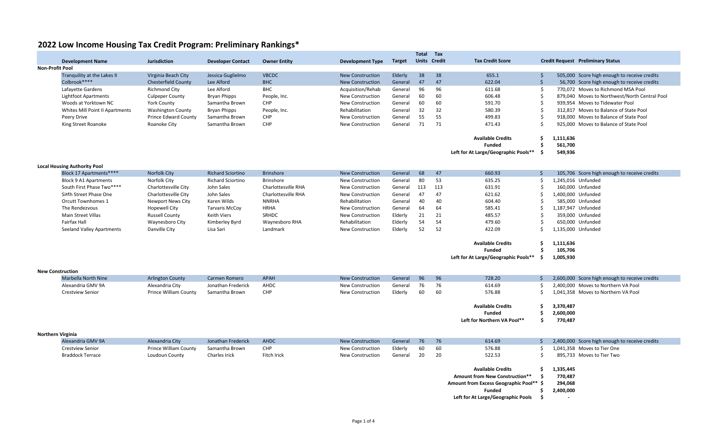### **2022 Low Income Housing Tax Credit Program: Preliminary Rankings\***

|                         |                                     |                              |                          |                     |                         |               | Total | Tax                 |                                         |               |                                                |  |
|-------------------------|-------------------------------------|------------------------------|--------------------------|---------------------|-------------------------|---------------|-------|---------------------|-----------------------------------------|---------------|------------------------------------------------|--|
|                         | <b>Development Name</b>             | <b>Jurisdiction</b>          | <b>Developer Contact</b> | <b>Owner Entity</b> | <b>Development Type</b> | <b>Target</b> |       | <b>Units Credit</b> | <b>Tax Credit Score</b>                 |               | <b>Credit Request Preliminary Status</b>       |  |
|                         | <b>Non-Profit Pool</b>              |                              |                          |                     |                         |               |       |                     |                                         |               |                                                |  |
|                         | Tranquility at the Lakes II         | Virginia Beach City          | Jessica Guglielmo        | <b>VBCDC</b>        | <b>New Construction</b> | Elderly       | 38    | 38                  | 655.1                                   | \$            | 505,000 Score high enough to receive credits   |  |
|                         | Colbrook****                        | <b>Chesterfield County</b>   | Lee Alford               | <b>BHC</b>          | <b>New Construction</b> | General       | 47    | 47                  | 622.04                                  | $\zeta$       | 56,700 Score high enough to receive credits    |  |
|                         | Lafayette Gardens                   | <b>Richmond City</b>         | Lee Alford               | <b>BHC</b>          | Acquisition/Rehab       | General       | 96    | 96                  | 611.68                                  | -Ś            | 770,072 Moves to Richmond MSA Pool             |  |
|                         | Lightfoot Apartments                | <b>Culpeper County</b>       | <b>Bryan Phipps</b>      | People, Inc.        | New Construction        | General       | 60    | 60                  | 606.48                                  | S,            | 879,040 Moves to Northwest/North Central Pool  |  |
|                         | Woods at Yorktown NC                | <b>York County</b>           | Samantha Brown           | CHP                 | <b>New Construction</b> | General       | 60    | 60                  | 591.70                                  | Ŝ             | 939,954 Moves to Tidewater Pool                |  |
|                         | Whites Mill Point II Apartments     | <b>Washington County</b>     | <b>Bryan Phipps</b>      | People, Inc.        | Rehabilitation          | General       | 32    | 32                  | 580.39                                  | Ŝ             | 312,817 Moves to Balance of State Pool         |  |
|                         | Peery Drive                         | <b>Prince Edward County</b>  | Samantha Brown           | <b>CHP</b>          | New Construction        | General       | 55    | 55                  | 499.83                                  | \$            | 918,000 Moves to Balance of State Pool         |  |
|                         | King Street Roanoke                 | Roanoke City                 | Samantha Brown           | CHP                 | New Construction        | General       | 71    | 71                  | 471.43                                  | Ŝ.            | 925,000 Moves to Balance of State Pool         |  |
|                         |                                     |                              |                          |                     |                         |               |       |                     |                                         |               |                                                |  |
|                         |                                     |                              |                          |                     |                         |               |       |                     | <b>Available Credits</b>                | -\$           | 1,111,636                                      |  |
|                         |                                     |                              |                          |                     |                         |               |       |                     | <b>Funded</b>                           | Ś             | 561,700                                        |  |
|                         |                                     |                              |                          |                     |                         |               |       |                     | Left for At Large/Geographic Pools**    | -\$           | 549,936                                        |  |
|                         |                                     |                              |                          |                     |                         |               |       |                     |                                         |               |                                                |  |
|                         | <b>Local Housing Authority Pool</b> |                              |                          |                     |                         |               |       |                     |                                         |               |                                                |  |
|                         | Block 17 Apartments****             | <b>Norfolk City</b>          | <b>Richard Sciortino</b> | <b>Brinshore</b>    | <b>New Construction</b> | General       | 68    | 47                  | 660.93                                  | $\zeta$       | 105,706 Score high enough to receive credits   |  |
|                         | <b>Block 9 A1 Apartments</b>        | Norfolk City                 | <b>Richard Sciortino</b> | <b>Brinshore</b>    | <b>New Construction</b> | General       | 80    | 53                  | 635.25                                  | Ŝ.            | 1.245.016 Unfunded                             |  |
|                         | South First Phase Two****           | Charlottesville City         | John Sales               | Charlottesville RHA | New Construction        | General       | 113   | 113                 | 631.91                                  | Ŝ             | 160,000 Unfunded                               |  |
|                         | Sixth Street Phase One              | Charlottesville City         | John Sales               | Charlottesville RHA | <b>New Construction</b> | General       | 47    | 47                  | 621.62                                  | Ś             | 1,400,000 Unfunded                             |  |
|                         | <b>Orcutt Townhomes 1</b>           | <b>Newport News City</b>     | Karen Wilds              | <b>NNRHA</b>        | Rehabilitation          | General       | 40    | 40                  | 604.40                                  | Ŝ             | 585,000 Unfunded                               |  |
|                         | The Rendezvous                      | Hopewell City                | <b>Tarvaris McCov</b>    | <b>HRHA</b>         | <b>New Construction</b> | General       | 64    | 64                  | 585.41                                  | Ŝ.            | 1,187,947 Unfunded                             |  |
|                         | Main Street Villas                  | <b>Russell County</b>        | Keith Viers              | SRHDC               | New Construction        | Elderly       | 21    | 21                  | 485.57                                  | Ŝ.            | 359,000 Unfunded                               |  |
|                         | Fairfax Hall                        | Waynesboro City              | Kimberley Byrd           | Waynesboro RHA      | Rehabilitation          | Elderly       | 54    | 54                  | 479.60                                  | -\$           | 650,000 Unfunded                               |  |
|                         | Seeland Valley Apartments           | Danville City                | Lisa Sari                | Landmark            | <b>New Construction</b> | Elderly       | 52    | 52                  | 422.09                                  | <sup>\$</sup> | 1,135,000 Unfunded                             |  |
|                         |                                     |                              |                          |                     |                         |               |       |                     |                                         |               |                                                |  |
|                         |                                     |                              |                          |                     |                         |               |       |                     | <b>Available Credits</b>                | Ŝ.            | 1,111,636                                      |  |
|                         |                                     |                              |                          |                     |                         |               |       |                     | <b>Funded</b>                           | \$            | 105,706                                        |  |
|                         |                                     |                              |                          |                     |                         |               |       |                     | Left for At Large/Geographic Pools**    | -\$           | 1,005,930                                      |  |
|                         |                                     |                              |                          |                     |                         |               |       |                     |                                         |               |                                                |  |
| <b>New Construction</b> |                                     |                              |                          |                     |                         |               |       |                     |                                         |               |                                                |  |
|                         | Marbella North Nine                 | <b>Arlington County</b>      | Carmen Romero            | <b>APAH</b>         | <b>New Construction</b> | General       | 96    | 96                  | 728.20                                  | Ŝ.            | 2,600,000 Score high enough to receive credits |  |
|                         | Alexandria GMV 9A                   | Alexandria City              | Jonathan Frederick       | AHDC                | <b>New Construction</b> | General       | 76    | 76                  | 614.69                                  | Ŝ.            | 2,400,000 Moves to Northern VA Pool            |  |
|                         | <b>Crestview Senior</b>             | <b>Prince William County</b> | Samantha Brown           | CHP                 | New Construction        | Elderly       | 60    | 60                  | 576.88                                  | Ŝ.            | 1,041,358 Moves to Northern VA Pool            |  |
|                         |                                     |                              |                          |                     |                         |               |       |                     |                                         |               |                                                |  |
|                         |                                     |                              |                          |                     |                         |               |       |                     | <b>Available Credits</b>                | Ŝ.            | 3,370,487                                      |  |
|                         |                                     |                              |                          |                     |                         |               |       |                     | <b>Funded</b>                           | Ŝ.            | 2,600,000                                      |  |
|                         |                                     |                              |                          |                     |                         |               |       |                     | Left for Northern VA Pool**             | \$            | 770.487                                        |  |
|                         |                                     |                              |                          |                     |                         |               |       |                     |                                         |               |                                                |  |
|                         | <b>Northern Virginia</b>            |                              |                          |                     |                         |               |       |                     |                                         |               |                                                |  |
|                         | Alexandria GMV 9A                   | Alexandria City              | Jonathan Frederick       | <b>AHDC</b>         | <b>New Construction</b> | General       | 76    | 76                  | 614.69                                  | $\zeta$       | 2,400,000 Score high enough to receive credits |  |
|                         | <b>Crestview Senior</b>             | <b>Prince William County</b> | Samantha Brown           | CHP                 | <b>New Construction</b> | Elderly       | 60    | 60                  | 576.88                                  | Ŝ.            | 1.041.358 Moves to Tier One                    |  |
|                         | <b>Braddock Terrace</b>             | Loudoun County               | Charles Irick            | Fitch Irick         | <b>New Construction</b> | General       | 20    | 20                  | 522.53                                  | Ś             | 895,733 Moves to Tier Two                      |  |
|                         |                                     |                              |                          |                     |                         |               |       |                     |                                         |               |                                                |  |
|                         |                                     |                              |                          |                     |                         |               |       |                     | <b>Available Credits</b>                | . Ś           | 1,335,445                                      |  |
|                         |                                     |                              |                          |                     |                         |               |       |                     | Amount from New Construction**          | -Ś            | 770,487                                        |  |
|                         |                                     |                              |                          |                     |                         |               |       |                     | Amount from Excess Geographic Pool** \$ |               | 294,068                                        |  |
|                         |                                     |                              |                          |                     |                         |               |       |                     |                                         |               |                                                |  |

- **Funded 2,400,000 \$**
- **Left for At Large/Geographic Pools \$ ‐**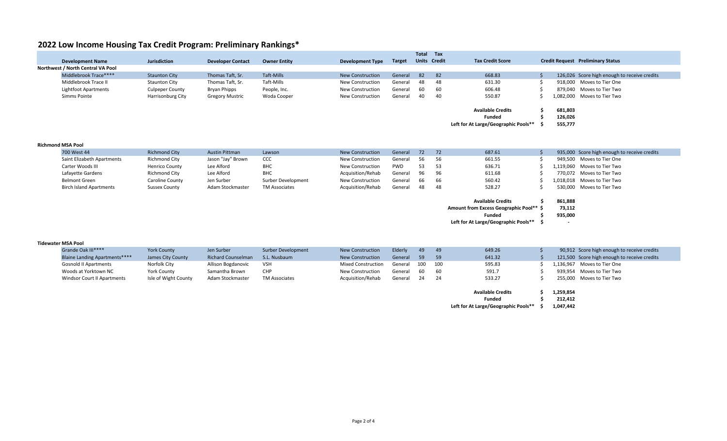## **2022 Low Income Housing Tax Credit Program: Preliminary Rankings\***

|                                   |                             |                        |                          |                     |                         |               | Total Tax |                     |                                      |         |                                              |
|-----------------------------------|-----------------------------|------------------------|--------------------------|---------------------|-------------------------|---------------|-----------|---------------------|--------------------------------------|---------|----------------------------------------------|
|                                   | <b>Development Name</b>     | Jurisdiction           | <b>Developer Contact</b> | <b>Owner Entity</b> | Development Type        | <b>Target</b> |           | <b>Units Credit</b> | <b>Tax Credit Score</b>              |         | <b>Credit Request</b> Preliminary Status     |
| Northwest / North Central VA Pool |                             |                        |                          |                     |                         |               |           |                     |                                      |         |                                              |
|                                   | Middlebrook Trace****       | <b>Staunton City</b>   | Thomas Taft, Sr.         | Taft-Mills          | <b>New Construction</b> | General       | 82        | 82                  | 668.83                               |         | 126,026 Score high enough to receive credits |
|                                   | Middlebrook Trace II        | <b>Staunton City</b>   | Thomas Taft, Sr.         | Taft-Mills          | <b>New Construction</b> | General       | 48        | - 48                | 631.30                               |         | 918.000 Moves to Tier One                    |
|                                   | <b>Lightfoot Apartments</b> | <b>Culpeper County</b> | Bryan Phipps             | People, Inc.        | <b>New Construction</b> | General       | 60        | 60                  | 606.48                               |         | 879.040 Moves to Tier Two                    |
|                                   | Simms Pointe                | Harrisonburg City      | <b>Gregory Mustric</b>   | Woda Cooper         | <b>New Construction</b> | General       | 40        | 40                  | 550.87                               |         | 1.082.000 Moves to Tier Two                  |
|                                   |                             |                        |                          |                     |                         |               |           |                     | <b>Available Credits</b>             | 681,803 |                                              |
|                                   |                             |                        |                          |                     |                         |               |           |                     | Funded                               | 126,026 |                                              |
|                                   |                             |                        |                          |                     |                         |               |           |                     | Left for At Large/Geographic Pools** | 555,777 |                                              |
|                                   |                             |                        |                          |                     |                         |               |           |                     |                                      |         |                                              |
|                                   |                             |                        |                          |                     |                         |               |           |                     |                                      |         |                                              |

### **Richmond MSA Pool**

| 700 West 44                    | <b>Richmond City</b>  | <b>Austin Pittman</b> | Lawson             | <b>New Construction</b> | General    | 72 72 |      | 687.61 |  | 935,000 Score high enough to receive credits |
|--------------------------------|-----------------------|-----------------------|--------------------|-------------------------|------------|-------|------|--------|--|----------------------------------------------|
| Saint Elizabeth Apartments     | Richmond City         | Jason "Jay" Brown     | <b>CCC</b>         | New Construction        | General    | 56 56 |      | 661.55 |  | 949,500 Moves to Tier One                    |
| Carter Woods III               | <b>Henrico County</b> | Lee Alford            | <b>BHC</b>         | <b>New Construction</b> | <b>PWD</b> | 53    |      | 636.71 |  | 1,119,060 Moves to Tier Two                  |
| Lafayette Gardens              | Richmond City         | Lee Alford            | <b>BHC</b>         | Acquisition/Rehab       | General    | 96 96 |      | 611.68 |  | 770,072 Moves to Tier Two                    |
| <b>Belmont Green</b>           | Caroline County       | Jen Surber            | Surber Development | <b>New Construction</b> | General    | - 66  | - 66 | 560.42 |  | 1,018,018 Moves to Tier Two                  |
| <b>Birch Island Apartments</b> | Sussex County         | Adam Stockmaster      | TM Associates      | Acquisition/Rehab       | General    | - 48  |      | 528.27 |  | 530,000 Moves to Tier Two                    |

| <b>Available Credits</b>                | s  | 861.888                  |
|-----------------------------------------|----|--------------------------|
| Amount from Excess Geographic Pool** \$ |    | 73.112                   |
| <b>Funded</b>                           | s  | 935.000                  |
| Left for At Large/Geographic Pools**    | -S | $\overline{\phantom{0}}$ |

#### **Tidewater MSA Pool**

| Grande Oak III****                   | <b>York County</b>   | Jen Surber                | Surber Development   | <b>New Construction</b>   | Elderly | - 49 | 49   | 649.26 | 90,912 Score high enough to receive credits  |
|--------------------------------------|----------------------|---------------------------|----------------------|---------------------------|---------|------|------|--------|----------------------------------------------|
| <b>Blaine Landing Apartments****</b> | James City County    | <b>Richard Counselman</b> | S.L. Nusbaum         | <b>New Construction</b>   | General | 59   | 59   | 641.32 | 121,500 Score high enough to receive credits |
| <b>Gosnold II Apartments</b>         | Norfolk City         | Allison Bogdanovic        | VSH                  | <b>Mixed Construction</b> | General | 100  | -100 | 595.83 | 1,136,967 Moves to Tier One                  |
| Woods at Yorktown NC                 | York County          | Samantha Brown            | <b>CHP</b>           | New Construction          | General | - 60 | 60   | 591.7  | 939,954 Moves to Tier Two                    |
| Windsor Court II Apartments          | Isle of Wight County | Adam Stockmaster          | <b>TM Associates</b> | Acquisition/Rehab         | General | - 24 |      | 533.27 | 255,000 Moves to Tier Two                    |

| <b>Available Credits</b> | 1,259,854 |  |
|--------------------------|-----------|--|
| <b>Funded</b>            | 212,412   |  |

**Left for At Large/Geographic Pools\*\* 1,047,442 \$**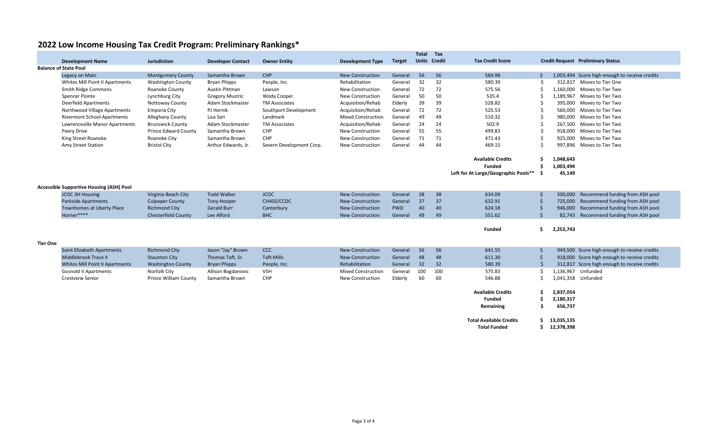| 2022 Low Income Housing Tax Credit Program: Preliminary Rankings* |  |  |
|-------------------------------------------------------------------|--|--|
|-------------------------------------------------------------------|--|--|

|                 |                                                 |                              |                          |                          |                           |               | Total | Tax                 |                                      |              |            |                                                |
|-----------------|-------------------------------------------------|------------------------------|--------------------------|--------------------------|---------------------------|---------------|-------|---------------------|--------------------------------------|--------------|------------|------------------------------------------------|
|                 | <b>Development Name</b>                         | <b>Jurisdiction</b>          | <b>Developer Contact</b> | <b>Owner Entity</b>      | Development Type          | <b>Target</b> |       | <b>Units Credit</b> | <b>Tax Credit Score</b>              |              |            | <b>Credit Request Preliminary Status</b>       |
|                 | <b>Balance of State Pool</b>                    |                              |                          |                          |                           |               |       |                     |                                      |              |            |                                                |
|                 | Legacy on Main                                  | <b>Montgomery County</b>     | Samantha Brown           | CHP                      | <b>New Construction</b>   | General       | 56    | 56                  | 584.98                               | Ŝ.           |            | 1,003,494 Score high enough to receive credits |
|                 | Whites Mill Point II Apartments                 | <b>Washington County</b>     | <b>Bryan Phipps</b>      | People, Inc.             | Rehabilitation            | General       | 32    | 32                  | 580.39                               | Ŝ.           |            | 312,817 Moves to Tier One                      |
|                 | Smith Ridge Commons                             | Roanoke County               | <b>Austin Pittman</b>    | Lawson                   | <b>New Construction</b>   | General       | 72    | 72                  | 575.56                               | Ŝ.           | 1,160,000  | Moves to Tier Two                              |
|                 | <b>Spencer Pointe</b>                           | Lynchburg City               | <b>Gregory Mustric</b>   | Woda Cooper              | <b>New Construction</b>   | General       | 50    | 50                  | 535.4                                |              | 1,189,967  | Moves to Tier Two                              |
|                 | <b>Deerfield Apartments</b>                     | Nottoway County              | Adam Stockmaster         | <b>TM Associates</b>     | Acquisition/Rehab         | Elderly       | 39    | 39                  | 528.82                               |              | 395,000    | Moves to Tier Two                              |
|                 | Northwood Village Apartments                    | Emporia City                 | PJ Hornik                | Southport Development    | Acquisition/Rehab         | General       | 72    | 72                  | 525.53                               | -Ś           | 560,000    | Moves to Tier Two                              |
|                 | <b>Rivermont School Apartments</b>              | Alleghany County             | Lisa Sari                | Landmark                 | <b>Mixed Construction</b> | General       | 49    | 49                  | 510.32                               |              | 980,000    | Moves to Tier Two                              |
|                 | Lawrenceville Manor Apartments                  | <b>Brunswick County</b>      | Adam Stockmaster         | <b>TM Associates</b>     | Acquisition/Rehab         | General       | 24    | 24                  | 502.9                                | -Ś           |            | 267,500 Moves to Tier Two                      |
|                 | Peery Drive                                     | <b>Prince Edward County</b>  | Samantha Brown           | <b>CHP</b>               | New Construction          | General       | 55    | 55                  | 499.83                               | Ś.           | 918,000    | Moves to Tier Two                              |
|                 | King Street Roanoke                             | Roanoke City                 | Samantha Brown           | CHP                      | New Construction          | General       | 71    | 71                  | 471.43                               | -\$          | 925,000    | Moves to Tier Two                              |
|                 | Amy Street Station                              | <b>Bristol City</b>          | Arthur Edwards, Jr.      | Severn Development Corp. | New Construction          | General       | 44    | 44                  | 469.15                               | -Ś           |            | 997,896 Moves to Tier Two                      |
|                 |                                                 |                              |                          |                          |                           |               |       |                     | <b>Available Credits</b>             | Ŝ.           | 1,048,643  |                                                |
|                 |                                                 |                              |                          |                          |                           |               |       |                     | <b>Funded</b>                        | Ŝ.           | 1,003,494  |                                                |
|                 |                                                 |                              |                          |                          |                           |               |       |                     | Left for At Large/Geographic Pools** | Ŝ.           | 45,149     |                                                |
|                 |                                                 |                              |                          |                          |                           |               |       |                     |                                      |              |            |                                                |
|                 | <b>Accessible Supportive Housing (ASH) Pool</b> |                              |                          |                          |                           |               |       |                     |                                      |              |            |                                                |
|                 | <b>JCOC 3H Housing</b>                          | Virginia Beach City          | <b>Todd Walker</b>       | <b>JCOC</b>              | <b>New Construction</b>   | General       | 38    | 38                  | 634.09                               | -\$          | 500,000    | Recommend funding from ASH pool                |
|                 | <b>Parkside Apartments</b>                      | <b>Culpeper County</b>       | <b>Tony Hooper</b>       | CHASS/CCDC               | <b>New Construction</b>   | General       | 37    | 37                  | 632.91                               | $\zeta$      | 725,000    | Recommend funding from ASH pool                |
|                 | Townhomes at Liberty Place                      | <b>Richmond City</b>         | <b>Gerald Burr</b>       | Canterbury               | <b>New Construction</b>   | <b>PWD</b>    | 40    | 40                  | 624.18                               | \$           | 946.000    | Recommend funding from ASH pool                |
|                 | Horner****                                      | <b>Chesterfield County</b>   | Lee Alford               | <b>BHC</b>               | <b>New Construction</b>   | General       | 49    | 49                  | 551.62                               | \$           | 82.743     | Recommend funding from ASH pool                |
|                 |                                                 |                              |                          |                          |                           |               |       |                     |                                      |              |            |                                                |
|                 |                                                 |                              |                          |                          |                           |               |       |                     | <b>Funded</b>                        | Ś.           | 2,253,743  |                                                |
| <b>Tier One</b> |                                                 |                              |                          |                          |                           |               |       |                     |                                      |              |            |                                                |
|                 | <b>Saint Elizabeth Apartments</b>               | <b>Richmond City</b>         | Jason "Jay" Brown        | <b>CCC</b>               | <b>New Construction</b>   | General       | 56    | 56                  | 641.55                               | \$           |            | 949,500 Score high enough to receive credits   |
|                 | Middlebrook Trace II                            | <b>Staunton City</b>         | Thomas Taft, Sr.         | Taft-Mills               | <b>New Construction</b>   | General       | 48    | 48                  | 611.30                               | $\zeta$      |            | 918,000 Score high enough to receive credits   |
|                 | Whites Mill Point II Apartments                 | <b>Washington County</b>     | <b>Bryan Phipps</b>      | People, Inc.             | Rehabilitation            | General       | 32    | 32                  | 580.39                               | $\mathsf{S}$ |            | 312,817 Score high enough to receive credits   |
|                 | <b>Gosnold II Apartments</b>                    | Norfolk City                 | Allison Bogdanovic       | <b>VSH</b>               | <b>Mixed Construction</b> | General       | 100   | 100                 | 575.83                               | Ŝ.           | 1,136,967  | Unfunded                                       |
|                 | <b>Crestview Senior</b>                         | <b>Prince William County</b> | Samantha Brown           | CHP                      | New Construction          | Elderly       | 60    | 60                  | 546.88                               | Ŝ.           |            | 1,041,358 Unfunded                             |
|                 |                                                 |                              |                          |                          |                           |               |       |                     |                                      |              |            |                                                |
|                 |                                                 |                              |                          |                          |                           |               |       |                     | <b>Available Credits</b>             | Ŝ.           | 2,837,054  |                                                |
|                 |                                                 |                              |                          |                          |                           |               |       |                     | <b>Funded</b>                        | \$.          | 2,180,317  |                                                |
|                 |                                                 |                              |                          |                          |                           |               |       |                     | Remaining                            | Ŝ.           | 656,737    |                                                |
|                 |                                                 |                              |                          |                          |                           |               |       |                     | <b>Total Available Credits</b>       | Ŝ.           | 13,035,135 |                                                |
|                 |                                                 |                              |                          |                          |                           |               |       |                     | <b>Total Funded</b>                  | \$           | 12,378,398 |                                                |
|                 |                                                 |                              |                          |                          |                           |               |       |                     |                                      |              |            |                                                |